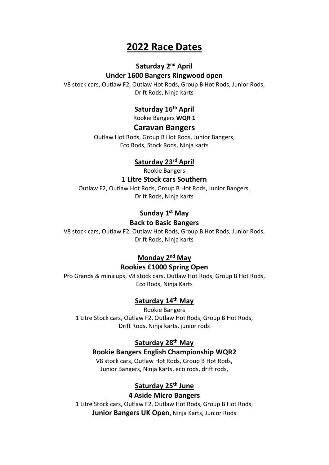# **2022 Race Dates**

## **Saturday 2nd April**

#### **Under 1600 Bangers Ringwood open**

V8 stock cars, Outlaw F2, Outlaw Hot Rods, Group B Hot Rods, Junior Rods, Drift Rods, Ninja karts

## **Saturday 16th April**

Rookie Bangers **WQR 1**

#### **Caravan Bangers**

Outlaw Hot Rods, Group B Hot Rods, Junior Bangers, Eco Rods, Stock Rods, Ninja karts

#### **Saturday 23rd April**

Rookie Bangers

#### **1 Litre Stock cars Southern**

Outlaw F2, Outlaw Hot Rods, Group B Hot Rods, Junior Bangers, Drift Rods, Ninja karts

### **Sunday 1st May**

#### **Back to Basic Bangers**

V8 stock cars, Outlaw F2, Outlaw Hot Rods, Group B Hot Rods, Junior Rods, Drift Rods, Ninja karts

### **Monday 2nd May**

#### **Rookies £1000 Spring Open**

Pro Grands & minicups, V8 stock cars, Outlaw Hot Rods, Group B Hot Rods, Eco Rods, Ninja Karts

## **Saturday 14th May**

Rookie Bangers 1 Litre Stock cars, Outlaw F2, Outlaw Hot Rods, Group B Hot Rods, Drift Rods, Ninja karts, junior rods

## **Saturday 28th May**

#### **Rookie Bangers English Championship WQR2**

V8 stock cars, Outlaw Hot Rods, Group B Hot Rods, Junior Bangers, Ninja Karts, eco rods, drift rods,

## **Saturday 25th June**

#### **4 Aside Micro Bangers**

1 Litre Stock cars, Outlaw F2, Outlaw Hot Rods, Group B Hot Rods, **Junior Bangers UK Open**, Ninja Karts, Junior Rods